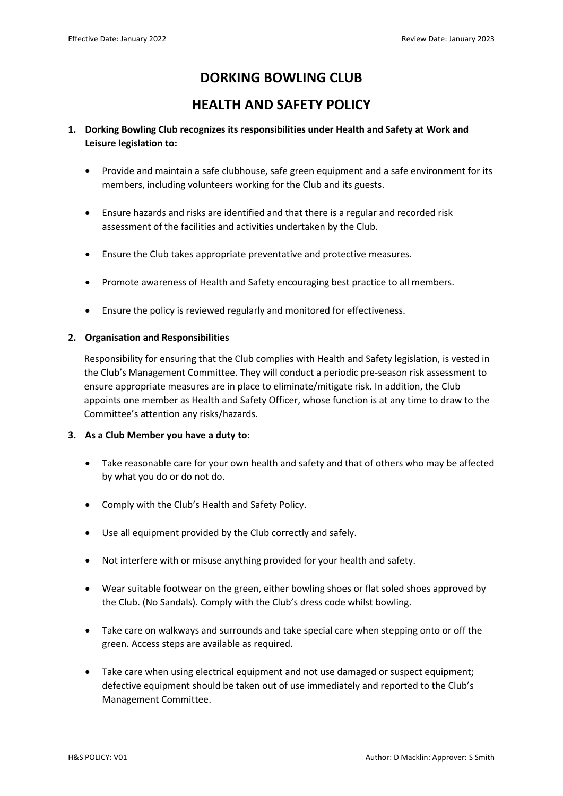# **DORKING BOWLING CLUB**

## **HEALTH AND SAFETY POLICY**

## **1. Dorking Bowling Club recognizes its responsibilities under Health and Safety at Work and Leisure legislation to:**

- Provide and maintain a safe clubhouse, safe green equipment and a safe environment for its members, including volunteers working for the Club and its guests.
- Ensure hazards and risks are identified and that there is a regular and recorded risk assessment of the facilities and activities undertaken by the Club.
- Ensure the Club takes appropriate preventative and protective measures.
- Promote awareness of Health and Safety encouraging best practice to all members.
- Ensure the policy is reviewed regularly and monitored for effectiveness.

### **2. Organisation and Responsibilities**

Responsibility for ensuring that the Club complies with Health and Safety legislation, is vested in the Club's Management Committee. They will conduct a periodic pre-season risk assessment to ensure appropriate measures are in place to eliminate/mitigate risk. In addition, the Club appoints one member as Health and Safety Officer, whose function is at any time to draw to the Committee's attention any risks/hazards.

#### **3. As a Club Member you have a duty to:**

- Take reasonable care for your own health and safety and that of others who may be affected by what you do or do not do.
- Comply with the Club's Health and Safety Policy.
- Use all equipment provided by the Club correctly and safely.
- Not interfere with or misuse anything provided for your health and safety.
- Wear suitable footwear on the green, either bowling shoes or flat soled shoes approved by the Club. (No Sandals). Comply with the Club's dress code whilst bowling.
- Take care on walkways and surrounds and take special care when stepping onto or off the green. Access steps are available as required.
- Take care when using electrical equipment and not use damaged or suspect equipment; defective equipment should be taken out of use immediately and reported to the Club's Management Committee.